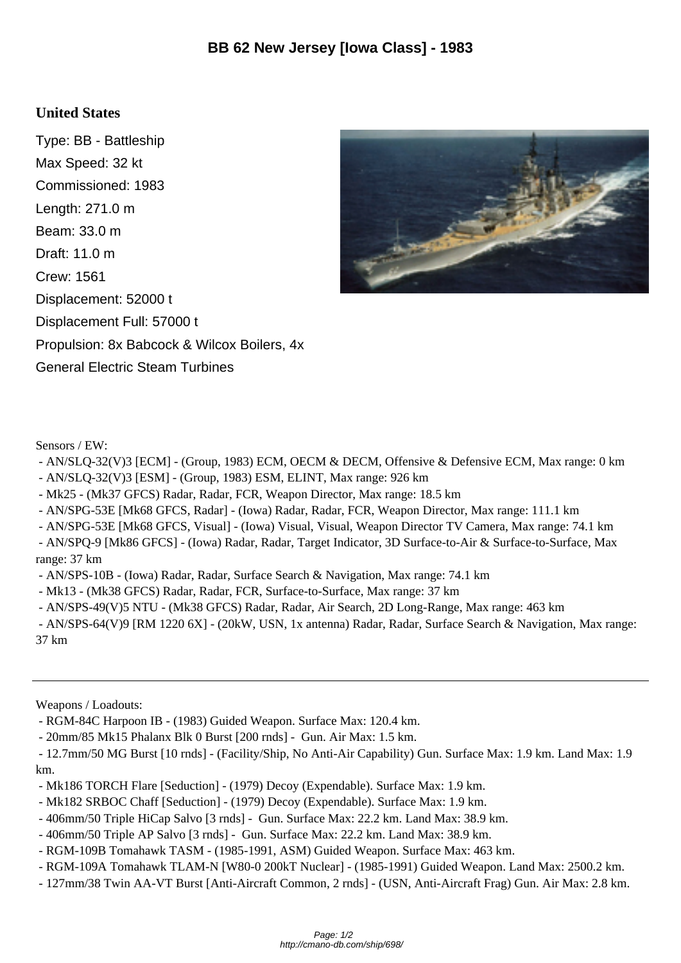## **United States**

Type: BB - Battleship Max Speed: 32 kt Commissioned: 1983 Length: 271.0 m Beam: 33.0 m Draft: 11.0 m Crew: 1561 Displacement: 52000 t Displacement Full: 57000 t Propulsion: 8x Babcock & Wilcox Boilers, 4x General Electric Steam Turbines



Sensors / EW:

- AN/SLQ-32(V)3 [ECM] - (Group, 1983) ECM, OECM & DECM, Offensive & Defensive ECM, Max range: 0 km

- AN/SLQ-32(V)3 [ESM] (Group, 1983) ESM, ELINT, Max range: 926 km
- Mk25 (Mk37 GFCS) Radar, Radar, FCR, Weapon Director, Max range: 18.5 km
- AN/SPG-53E [Mk68 GFCS, Radar] (Iowa) Radar, Radar, FCR, Weapon Director, Max range: 111.1 km
- AN/SPG-53E [Mk68 GFCS, Visual] (Iowa) Visual, Visual, Weapon Director TV Camera, Max range: 74.1 km

 - AN/SPQ-9 [Mk86 GFCS] - (Iowa) Radar, Radar, Target Indicator, 3D Surface-to-Air & Surface-to-Surface, Max range: 37 km

- AN/SPS-10B - (Iowa) Radar, Radar, Surface Search & Navigation, Max range: 74.1 km

- Mk13 (Mk38 GFCS) Radar, Radar, FCR, Surface-to-Surface, Max range: 37 km
- AN/SPS-49(V)5 NTU (Mk38 GFCS) Radar, Radar, Air Search, 2D Long-Range, Max range: 463 km

 - AN/SPS-64(V)9 [RM 1220 6X] - (20kW, USN, 1x antenna) Radar, Radar, Surface Search & Navigation, Max range: 37 km

Weapons / Loadouts:

- RGM-84C Harpoon IB (1983) Guided Weapon. Surface Max: 120.4 km.
- 20mm/85 Mk15 Phalanx Blk 0 Burst [200 rnds] Gun. Air Max: 1.5 km.

- Mk186 TORCH Flare [Seduction] (1979) Decoy (Expendable). Surface Max: 1.9 km.
- Mk182 SRBOC Chaff [Seduction] (1979) Decoy (Expendable). Surface Max: 1.9 km.
- 406mm/50 Triple HiCap Salvo [3 rnds] Gun. Surface Max: 22.2 km. Land Max: 38.9 km.
- 406mm/50 Triple AP Salvo [3 rnds] Gun. Surface Max: 22.2 km. Land Max: 38.9 km.
- RGM-109B Tomahawk TASM (1985-1991, ASM) Guided Weapon. Surface Max: 463 km.
- RGM-109A Tomahawk TLAM-N [W80-0 200kT Nuclear] (1985-1991) Guided Weapon. Land Max: 2500.2 km.
- 127mm/38 Twin AA-VT Burst [Anti-Aircraft Common, 2 rnds] (USN, Anti-Aircraft Frag) Gun. Air Max: 2.8 km.

 <sup>- 12.7</sup>mm/50 MG Burst [10 rnds] - (Facility/Ship, No Anti-Air Capability) Gun. Surface Max: 1.9 km. Land Max: 1.9 km.